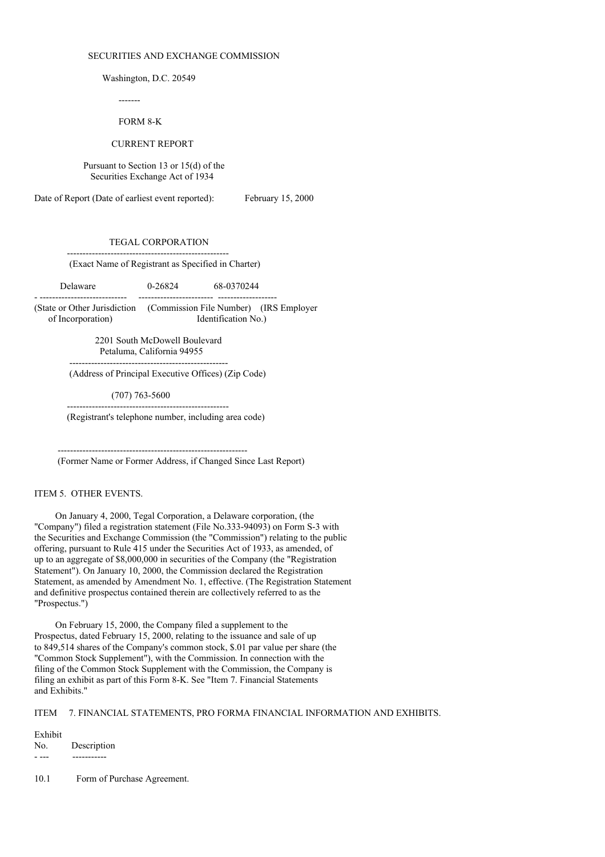#### SECURITIES AND EXCHANGE COMMISSION

Washington, D.C. 20549

-------

# FORM 8-K

## CURRENT REPORT

Pursuant to Section 13 or 15(d) of the Securities Exchange Act of 1934

Date of Report (Date of earliest event reported): February 15, 2000

### TEGAL CORPORATION

(Exact Name of Registrant as Specified in Charter)

Delaware 0-26824 68-0370244

----------------------------------------------------

- ---------------------------- ------------------------ ------------------- (State or Other Jurisdiction (Commission File Number) (IRS Employer of Incorporation) Identification No.)

> 2201 South McDowell Boulevard Petaluma, California 94955 ---------------------------------------------------

(Address of Principal Executive Offices) (Zip Code)

(707) 763-5600

---------------------------------------------------- (Registrant's telephone number, including area code)

------------------------------------------------------------- (Former Name or Former Address, if Changed Since Last Report)

## ITEM 5. OTHER EVENTS.

On January 4, 2000, Tegal Corporation, a Delaware corporation, (the "Company") filed a registration statement (File No.333-94093) on Form S-3 with the Securities and Exchange Commission (the "Commission") relating to the public offering, pursuant to Rule 415 under the Securities Act of 1933, as amended, of up to an aggregate of \$8,000,000 in securities of the Company (the "Registration Statement"). On January 10, 2000, the Commission declared the Registration Statement, as amended by Amendment No. 1, effective. (The Registration Statement and definitive prospectus contained therein are collectively referred to as the "Prospectus.")

On February 15, 2000, the Company filed a supplement to the Prospectus, dated February 15, 2000, relating to the issuance and sale of up to 849,514 shares of the Company's common stock, \$.01 par value per share (the "Common Stock Supplement"), with the Commission. In connection with the filing of the Common Stock Supplement with the Commission, the Company is filing an exhibit as part of this Form 8-K. See "Item 7. Financial Statements and Exhibits."

ITEM 7. FINANCIAL STATEMENTS, PRO FORMA FINANCIAL INFORMATION AND EXHIBITS.

#### Exhibit

No. Description - --- -----------

10.1 Form of Purchase Agreement.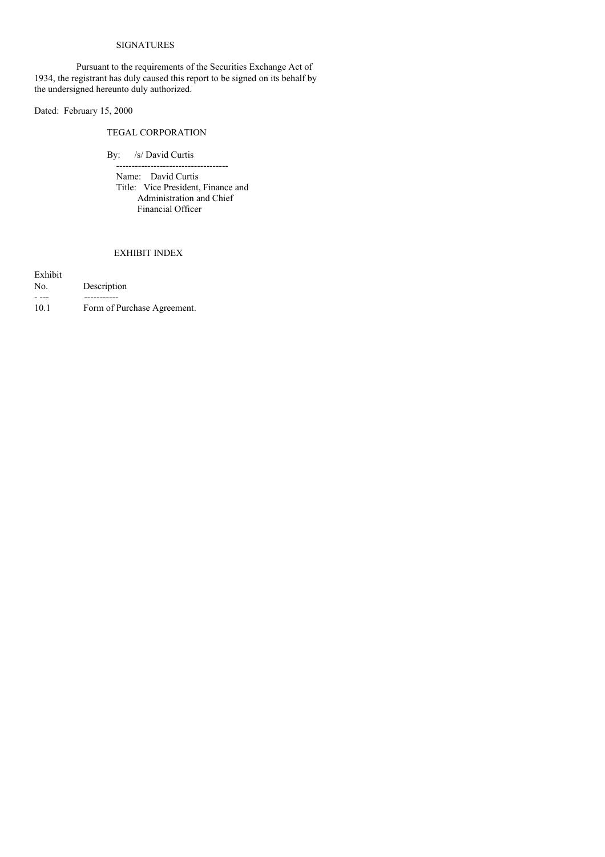## SIGNATURES

Pursuant to the requirements of the Securities Exchange Act of 1934, the registrant has duly caused this report to be signed on its behalf by the undersigned hereunto duly authorized.

Dated: February 15, 2000

# TEGAL CORPORATION

By: /s/ David Curtis

Name: David Curtis Title: Vice President, Finance and Administration and Chief Financial Officer

------------------------------------

# EXHIBIT INDEX

| Exhibit |                             |
|---------|-----------------------------|
| No.     | Description                 |
|         |                             |
| 10.1    | Form of Purchase Agreement. |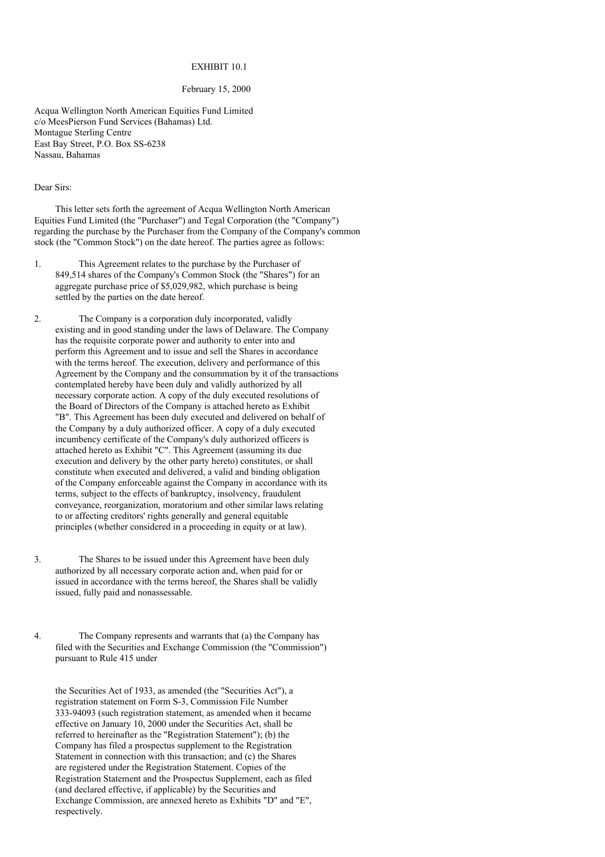## EXHIBIT 10.1

## February 15, 2000

Acqua Wellington North American Equities Fund Limited c/o MeesPierson Fund Services (Bahamas) Ltd. Montague Sterling Centre East Bay Street, P.O. Box SS-6238 Nassau, Bahamas

### Dear Sirs:

This letter sets forth the agreement of Acqua Wellington North American Equities Fund Limited (the "Purchaser") and Tegal Corporation (the "Company") regarding the purchase by the Purchaser from the Company of the Company's common stock (the "Common Stock") on the date hereof. The parties agree as follows:

1. This Agreement relates to the purchase by the Purchaser of 849,514 shares of the Company's Common Stock (the "Shares") for an aggregate purchase price of \$5,029,982, which purchase is being settled by the parties on the date hereof.

2. The Company is a corporation duly incorporated, validly existing and in good standing under the laws of Delaware. The Company has the requisite corporate power and authority to enter into and perform this Agreement and to issue and sell the Shares in accordance with the terms hereof. The execution, delivery and performance of this Agreement by the Company and the consummation by it of the transactions contemplated hereby have been duly and validly authorized by all necessary corporate action. A copy of the duly executed resolutions of the Board of Directors of the Company is attached hereto as Exhibit "B". This Agreement has been duly executed and delivered on behalf of the Company by a duly authorized officer. A copy of a duly executed incumbency certificate of the Company's duly authorized officers is attached hereto as Exhibit "C". This Agreement (assuming its due execution and delivery by the other party hereto) constitutes, or shall constitute when executed and delivered, a valid and binding obligation of the Company enforceable against the Company in accordance with its terms, subject to the effects of bankruptcy, insolvency, fraudulent conveyance, reorganization, moratorium and other similar laws relating to or affecting creditors' rights generally and general equitable principles (whether considered in a proceeding in equity or at law).

3. The Shares to be issued under this Agreement have been duly authorized by all necessary corporate action and, when paid for or issued in accordance with the terms hereof, the Shares shall be validly issued, fully paid and nonassessable.

4. The Company represents and warrants that (a) the Company has filed with the Securities and Exchange Commission (the "Commission") pursuant to Rule 415 under

the Securities Act of 1933, as amended (the "Securities Act"), a registration statement on Form S-3, Commission File Number 333-94093 (such registration statement, as amended when it became effective on January 10, 2000 under the Securities Act, shall be referred to hereinafter as the "Registration Statement"); (b) the Company has filed a prospectus supplement to the Registration Statement in connection with this transaction; and (c) the Shares are registered under the Registration Statement. Copies of the Registration Statement and the Prospectus Supplement, each as filed (and declared effective, if applicable) by the Securities and Exchange Commission, are annexed hereto as Exhibits "D" and "E", respectively.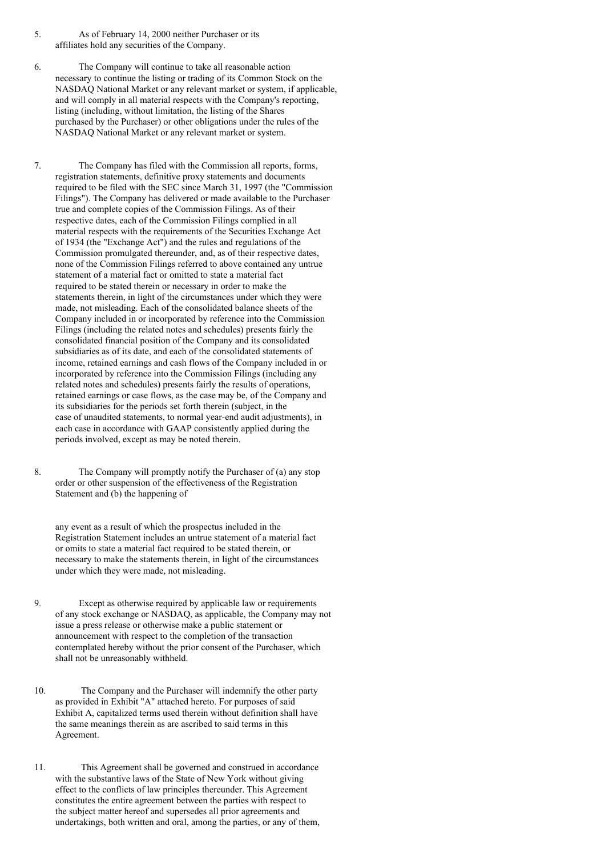- 5. As of February 14, 2000 neither Purchaser or its affiliates hold any securities of the Company.
- 6. The Company will continue to take all reasonable action necessary to continue the listing or trading of its Common Stock on the NASDAQ National Market or any relevant market or system, if applicable, and will comply in all material respects with the Company's reporting, listing (including, without limitation, the listing of the Shares purchased by the Purchaser) or other obligations under the rules of the NASDAQ National Market or any relevant market or system.

7. The Company has filed with the Commission all reports, forms, registration statements, definitive proxy statements and documents required to be filed with the SEC since March 31, 1997 (the "Commission Filings"). The Company has delivered or made available to the Purchaser true and complete copies of the Commission Filings. As of their respective dates, each of the Commission Filings complied in all material respects with the requirements of the Securities Exchange Act of 1934 (the "Exchange Act") and the rules and regulations of the Commission promulgated thereunder, and, as of their respective dates, none of the Commission Filings referred to above contained any untrue statement of a material fact or omitted to state a material fact required to be stated therein or necessary in order to make the statements therein, in light of the circumstances under which they were made, not misleading. Each of the consolidated balance sheets of the Company included in or incorporated by reference into the Commission Filings (including the related notes and schedules) presents fairly the consolidated financial position of the Company and its consolidated subsidiaries as of its date, and each of the consolidated statements of income, retained earnings and cash flows of the Company included in or incorporated by reference into the Commission Filings (including any related notes and schedules) presents fairly the results of operations, retained earnings or case flows, as the case may be, of the Company and its subsidiaries for the periods set forth therein (subject, in the case of unaudited statements, to normal year-end audit adjustments), in each case in accordance with GAAP consistently applied during the periods involved, except as may be noted therein.

8. The Company will promptly notify the Purchaser of (a) any stop order or other suspension of the effectiveness of the Registration Statement and (b) the happening of

any event as a result of which the prospectus included in the Registration Statement includes an untrue statement of a material fact or omits to state a material fact required to be stated therein, or necessary to make the statements therein, in light of the circumstances under which they were made, not misleading.

- 9. Except as otherwise required by applicable law or requirements of any stock exchange or NASDAQ, as applicable, the Company may not issue a press release or otherwise make a public statement or announcement with respect to the completion of the transaction contemplated hereby without the prior consent of the Purchaser, which shall not be unreasonably withheld.
- 10. The Company and the Purchaser will indemnify the other party as provided in Exhibit "A" attached hereto. For purposes of said Exhibit A, capitalized terms used therein without definition shall have the same meanings therein as are ascribed to said terms in this Agreement.
- 11. This Agreement shall be governed and construed in accordance with the substantive laws of the State of New York without giving effect to the conflicts of law principles thereunder. This Agreement constitutes the entire agreement between the parties with respect to the subject matter hereof and supersedes all prior agreements and undertakings, both written and oral, among the parties, or any of them,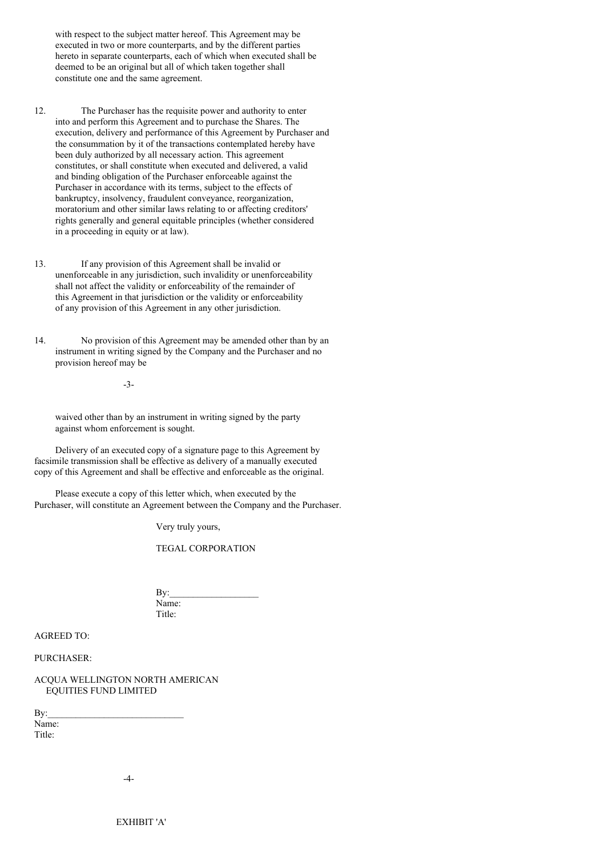with respect to the subject matter hereof. This Agreement may be executed in two or more counterparts, and by the different parties hereto in separate counterparts, each of which when executed shall be deemed to be an original but all of which taken together shall constitute one and the same agreement.

- 12. The Purchaser has the requisite power and authority to enter into and perform this Agreement and to purchase the Shares. The execution, delivery and performance of this Agreement by Purchaser and the consummation by it of the transactions contemplated hereby have been duly authorized by all necessary action. This agreement constitutes, or shall constitute when executed and delivered, a valid and binding obligation of the Purchaser enforceable against the Purchaser in accordance with its terms, subject to the effects of bankruptcy, insolvency, fraudulent conveyance, reorganization, moratorium and other similar laws relating to or affecting creditors' rights generally and general equitable principles (whether considered in a proceeding in equity or at law).
- 13. If any provision of this Agreement shall be invalid or unenforceable in any jurisdiction, such invalidity or unenforceability shall not affect the validity or enforceability of the remainder of this Agreement in that jurisdiction or the validity or enforceability of any provision of this Agreement in any other jurisdiction.
- 14. No provision of this Agreement may be amended other than by an instrument in writing signed by the Company and the Purchaser and no provision hereof may be

-3-

waived other than by an instrument in writing signed by the party against whom enforcement is sought.

Delivery of an executed copy of a signature page to this Agreement by facsimile transmission shall be effective as delivery of a manually executed copy of this Agreement and shall be effective and enforceable as the original.

Please execute a copy of this letter which, when executed by the Purchaser, will constitute an Agreement between the Company and the Purchaser.

Very truly yours,

TEGAL CORPORATION

 $Bv:$ Name: Title:

AGREED TO:

PURCHASER:

ACQUA WELLINGTON NORTH AMERICAN EQUITIES FUND LIMITED

 $\mathbf{By:}$ Name: Title:

 $-4-$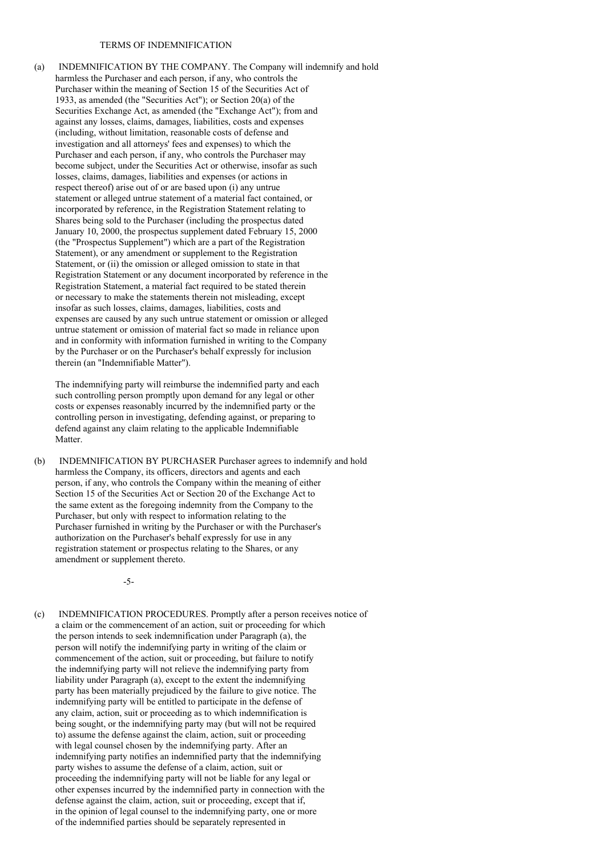## TERMS OF INDEMNIFICATION

(a) INDEMNIFICATION BY THE COMPANY. The Company will indemnify and hold harmless the Purchaser and each person, if any, who controls the Purchaser within the meaning of Section 15 of the Securities Act of 1933, as amended (the "Securities Act"); or Section 20(a) of the Securities Exchange Act, as amended (the "Exchange Act"); from and against any losses, claims, damages, liabilities, costs and expenses (including, without limitation, reasonable costs of defense and investigation and all attorneys' fees and expenses) to which the Purchaser and each person, if any, who controls the Purchaser may become subject, under the Securities Act or otherwise, insofar as such losses, claims, damages, liabilities and expenses (or actions in respect thereof) arise out of or are based upon (i) any untrue statement or alleged untrue statement of a material fact contained, or incorporated by reference, in the Registration Statement relating to Shares being sold to the Purchaser (including the prospectus dated January 10, 2000, the prospectus supplement dated February 15, 2000 (the "Prospectus Supplement") which are a part of the Registration Statement), or any amendment or supplement to the Registration Statement, or (ii) the omission or alleged omission to state in that Registration Statement or any document incorporated by reference in the Registration Statement, a material fact required to be stated therein or necessary to make the statements therein not misleading, except insofar as such losses, claims, damages, liabilities, costs and expenses are caused by any such untrue statement or omission or alleged untrue statement or omission of material fact so made in reliance upon and in conformity with information furnished in writing to the Company by the Purchaser or on the Purchaser's behalf expressly for inclusion therein (an "Indemnifiable Matter").

The indemnifying party will reimburse the indemnified party and each such controlling person promptly upon demand for any legal or other costs or expenses reasonably incurred by the indemnified party or the controlling person in investigating, defending against, or preparing to defend against any claim relating to the applicable Indemnifiable Matter.

(b) INDEMNIFICATION BY PURCHASER Purchaser agrees to indemnify and hold harmless the Company, its officers, directors and agents and each person, if any, who controls the Company within the meaning of either Section 15 of the Securities Act or Section 20 of the Exchange Act to the same extent as the foregoing indemnity from the Company to the Purchaser, but only with respect to information relating to the Purchaser furnished in writing by the Purchaser or with the Purchaser's authorization on the Purchaser's behalf expressly for use in any registration statement or prospectus relating to the Shares, or any amendment or supplement thereto.

-5-

(c) INDEMNIFICATION PROCEDURES. Promptly after a person receives notice of a claim or the commencement of an action, suit or proceeding for which the person intends to seek indemnification under Paragraph (a), the person will notify the indemnifying party in writing of the claim or commencement of the action, suit or proceeding, but failure to notify the indemnifying party will not relieve the indemnifying party from liability under Paragraph (a), except to the extent the indemnifying party has been materially prejudiced by the failure to give notice. The indemnifying party will be entitled to participate in the defense of any claim, action, suit or proceeding as to which indemnification is being sought, or the indemnifying party may (but will not be required to) assume the defense against the claim, action, suit or proceeding with legal counsel chosen by the indemnifying party. After an indemnifying party notifies an indemnified party that the indemnifying party wishes to assume the defense of a claim, action, suit or proceeding the indemnifying party will not be liable for any legal or other expenses incurred by the indemnified party in connection with the defense against the claim, action, suit or proceeding, except that if, in the opinion of legal counsel to the indemnifying party, one or more of the indemnified parties should be separately represented in